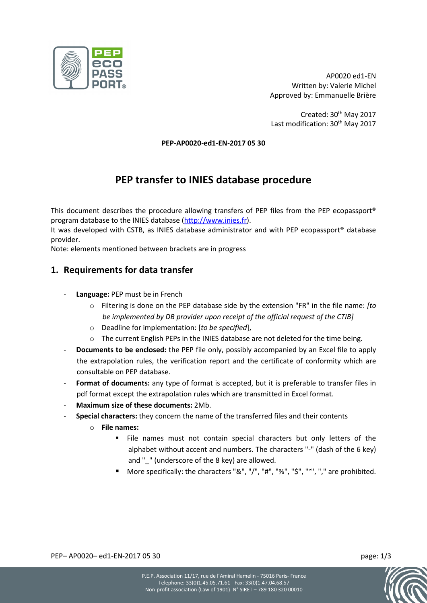

AP0020 ed1-EN Written by: Valerie Michel Approved by: Emmanuelle Brière

Created: 30<sup>th</sup> May 2017 Last modification: 30<sup>th</sup> May 2017

**PEP-AP0020-ed1-EN-2017 05 30**

## **PEP transfer to INIES database procedure**

This document describes the procedure allowing transfers of PEP files from the PEP ecopassport® program database to the INIES database [\(http://www.inies.fr\)](http://www.inies.fr/).

It was developed with CSTB, as INIES database administrator and with PEP ecopassport® database provider.

Note: elements mentioned between brackets are in progress

## **1. Requirements for data transfer**

- Language: PEP must be in French
	- o Filtering is done on the PEP database side by the extension "FR" in the file name: *[to be implemented by DB provider upon receipt of the official request of the CTIB]*
	- o Deadline for implementation: [*to be specified*],
	- $\circ$  The current English PEPs in the INIES database are not deleted for the time being.
- **Documents to be enclosed:** the PEP file only, possibly accompanied by an Excel file to apply the extrapolation rules, the verification report and the certificate of conformity which are consultable on PEP database.
- Format of documents: any type of format is accepted, but it is preferable to transfer files in pdf format except the extrapolation rules which are transmitted in Excel format.
- **Maximum size of these documents:** 2Mb.
- **Special characters:** they concern the name of the transferred files and their contents
	- o **File names:**
		- File names must not contain special characters but only letters of the alphabet without accent and numbers. The characters "-" (dash of the 6 key) and " " (underscore of the 8 key) are allowed.
		- More specifically: the characters "&", "/", "#", "%", "\$", "°", "," are prohibited.

PEP– AP0020– ed1-EN-2017 05 30 page: 1/3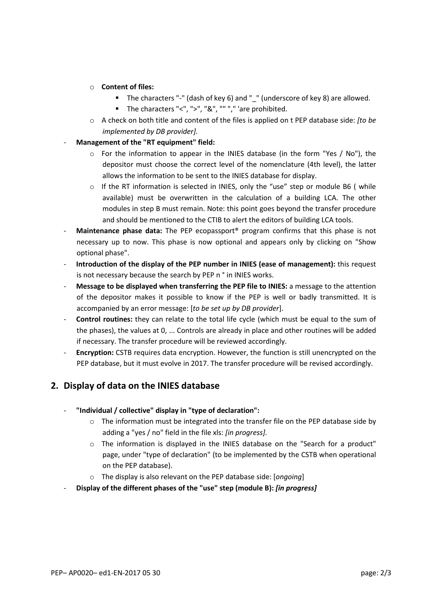- o **Content of files:**
	- The characters "-" (dash of key 6) and " " (underscore of key 8) are allowed.
	- The characters "<", ">", "&", "" "," 'are prohibited.
- o A check on both title and content of the files is applied on t PEP database side: *[to be implemented by DB provider].*
- **Management of the "RT equipment" field:**
	- $\circ$  For the information to appear in the INIES database (in the form "Yes / No"), the depositor must choose the correct level of the nomenclature (4th level), the latter allows the information to be sent to the INIES database for display.
	- $\circ$  If the RT information is selected in INIES, only the "use" step or module B6 ( while available) must be overwritten in the calculation of a building LCA. The other modules in step B must remain. Note: this point goes beyond the transfer procedure and should be mentioned to the CTIB to alert the editors of building LCA tools.
- **Maintenance phase data:** The PEP ecopassport® program confirms that this phase is not necessary up to now. This phase is now optional and appears only by clicking on "Show optional phase".
- **Introduction of the display of the PEP number in INIES (ease of management):** this request is not necessary because the search by PEP n ° in INIES works.
- **Message to be displayed when transferring the PEP file to INIES:** a message to the attention of the depositor makes it possible to know if the PEP is well or badly transmitted. It is accompanied by an error message: [*to be set up by DB provider*].
- **Control routines:** they can relate to the total life cycle (which must be equal to the sum of the phases), the values at 0, ... Controls are already in place and other routines will be added if necessary. The transfer procedure will be reviewed accordingly.
- **Encryption:** CSTB requires data encryption. However, the function is still unencrypted on the PEP database, but it must evolve in 2017. The transfer procedure will be revised accordingly.

## **2. Display of data on the INIES database**

- **"Individual / collective" display in "type of declaration":**
	- $\circ$  The information must be integrated into the transfer file on the PEP database side by adding a "yes / no" field in the file xls: *[in progress].*
	- $\circ$  The information is displayed in the INIES database on the "Search for a product" page, under "type of declaration" (to be implemented by the CSTB when operational on the PEP database).
	- o The display is also relevant on the PEP database side: [*ongoing*]
- **Display of the different phases of the "use" step (module B):** *[in progress]*